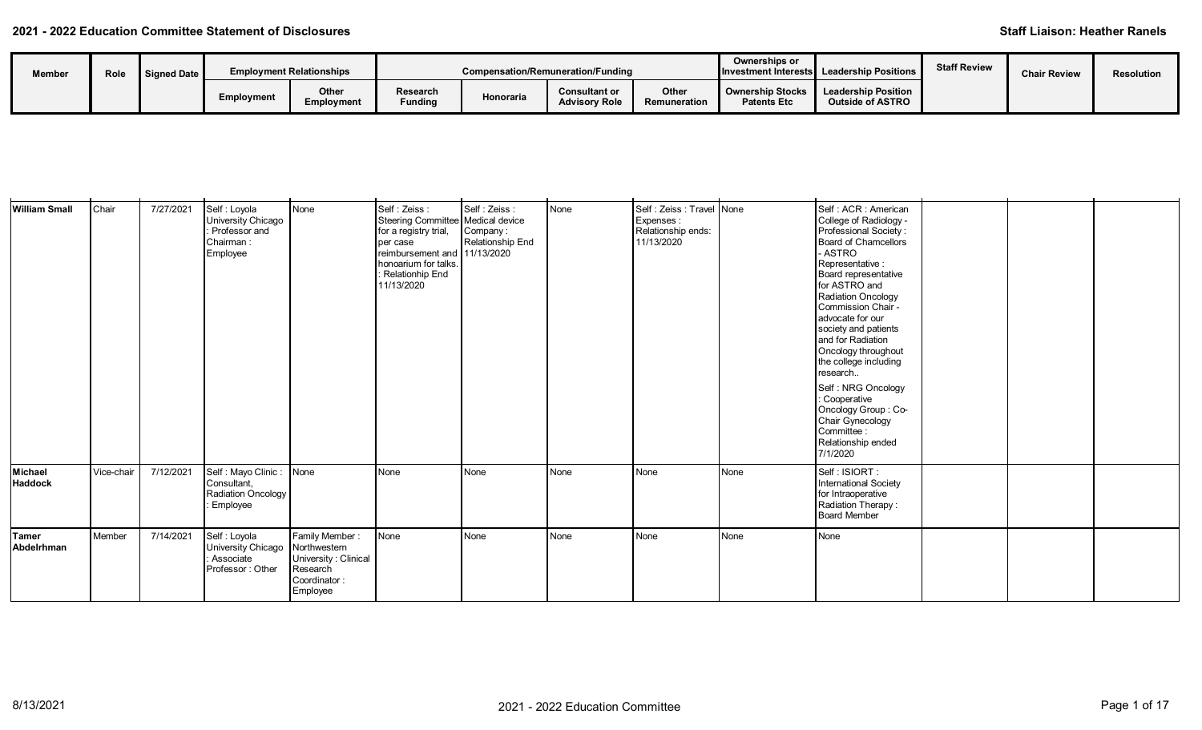| Member | Role | Signed Date |            | <b>Employment Relationships</b> |                            | Compensation/Remuneration/Funding |                                              |                       | Ownerships or       | Investment Interests Leadership Positions                         | <b>Staff Review</b> | <b>Chair Review</b> | Resolution |
|--------|------|-------------|------------|---------------------------------|----------------------------|-----------------------------------|----------------------------------------------|-----------------------|---------------------|-------------------------------------------------------------------|---------------------|---------------------|------------|
|        |      |             | Employment | Other<br>Employment             | Research<br><b>Funding</b> | Honoraria                         | <b>Consultant or</b><br><b>Advisory Role</b> | Other<br>Remuneration | <b>Patents Etc.</b> | Ownership Stocks   Leadership Position<br><b>Outside of ASTRO</b> |                     |                     |            |

| <b>William Small</b>      | Chair      | 7/27/2021 | Self: Loyola<br>University Chicago<br>Professor and<br>Chairman:<br>Employee | None                                                                                           | Self: Zeiss:<br>Steering Committee Medical device<br>for a registry trial,<br>per case<br>reimbursement and 11/13/2020<br>honoarium for talks.<br>: Relationhip End<br>11/13/2020 | Self : Zeiss :<br>Company:<br>Relationship End | None | Self: Zeiss: Travel None<br>Expenses:<br>Relationship ends:<br>11/13/2020 |      | Self: ACR: American<br>College of Radiology -<br>Professional Society:<br><b>Board of Chamcellors</b><br>- ASTRO<br>Representative:<br>Board representative<br>for ASTRO and<br>Radiation Oncology<br>Commission Chair -<br>advocate for our<br>society and patients<br>and for Radiation<br>Oncology throughout<br>the college including<br>research<br>Self: NRG Oncology<br>: Cooperative<br>Oncology Group: Co-<br>Chair Gynecology<br>Committee :<br>Relationship ended<br>7/1/2020 |  |  |
|---------------------------|------------|-----------|------------------------------------------------------------------------------|------------------------------------------------------------------------------------------------|-----------------------------------------------------------------------------------------------------------------------------------------------------------------------------------|------------------------------------------------|------|---------------------------------------------------------------------------|------|------------------------------------------------------------------------------------------------------------------------------------------------------------------------------------------------------------------------------------------------------------------------------------------------------------------------------------------------------------------------------------------------------------------------------------------------------------------------------------------|--|--|
| Michael<br><b>Haddock</b> | Vice-chair | 7/12/2021 | Self : Mayo Clinic :<br>Consultant,<br>Radiation Oncology<br>Employee        | None                                                                                           | None                                                                                                                                                                              | <b>N</b> one                                   | None | None                                                                      | None | Self : ISIORT :<br>International Society<br>for Intraoperative<br>Radiation Therapy:<br><b>Board Member</b>                                                                                                                                                                                                                                                                                                                                                                              |  |  |
| Tamer<br>Abdelrhman       | Member     | 7/14/2021 | Self : Loyola<br>University Chicago<br>Associate<br>Professor: Other         | Family Member:<br>Northwestern<br>University: Clinical<br>Research<br>Coordinator:<br>Employee | None                                                                                                                                                                              | None                                           | None | None                                                                      | None | None                                                                                                                                                                                                                                                                                                                                                                                                                                                                                     |  |  |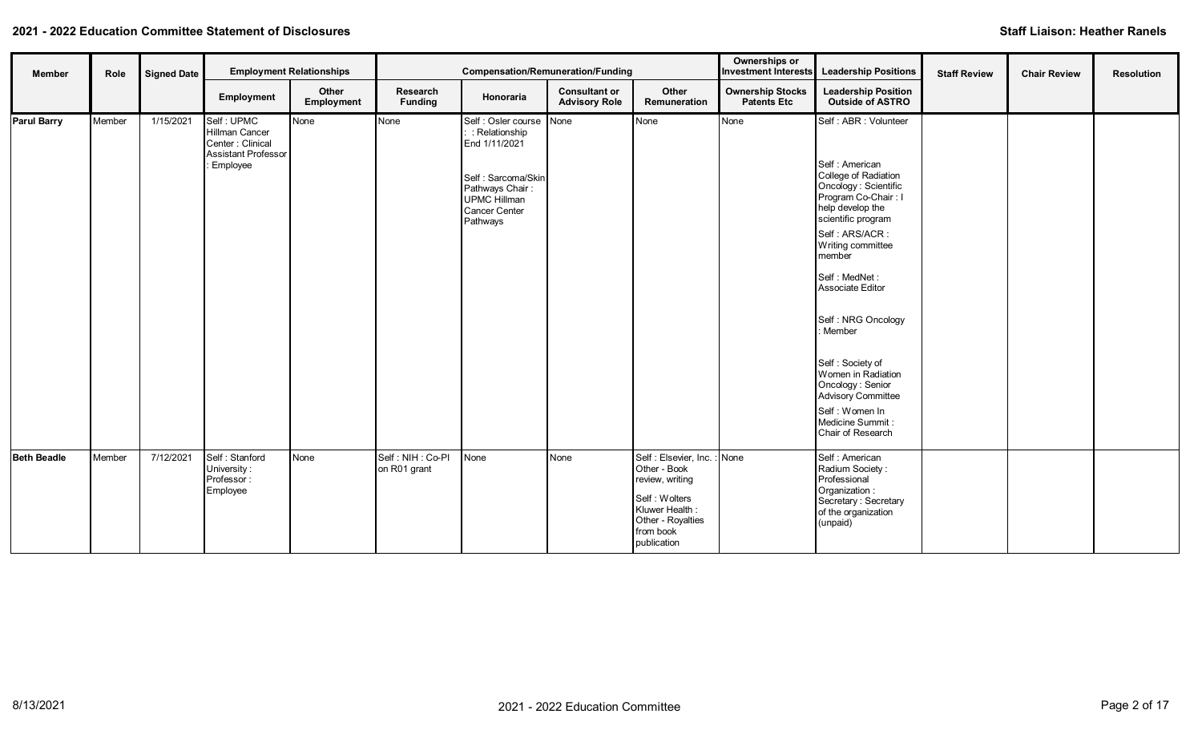| <b>Member</b>      | Role   | <b>Signed Date</b> |                                                                                            | <b>Employment Relationships</b> |                                  | <b>Compensation/Remuneration/Funding</b>                                                                                                     |                                              |                                                                                                                                                     | Ownerships or<br><b>Investment Interests</b>  | <b>Leadership Positions</b>                                                                                                                                                                                                                                                                                                                                                                                                         | <b>Staff Review</b> | <b>Chair Review</b> | <b>Resolution</b> |
|--------------------|--------|--------------------|--------------------------------------------------------------------------------------------|---------------------------------|----------------------------------|----------------------------------------------------------------------------------------------------------------------------------------------|----------------------------------------------|-----------------------------------------------------------------------------------------------------------------------------------------------------|-----------------------------------------------|-------------------------------------------------------------------------------------------------------------------------------------------------------------------------------------------------------------------------------------------------------------------------------------------------------------------------------------------------------------------------------------------------------------------------------------|---------------------|---------------------|-------------------|
|                    |        |                    | Employment                                                                                 | Other<br>Employment             | Research<br><b>Funding</b>       | Honoraria                                                                                                                                    | <b>Consultant or</b><br><b>Advisory Role</b> | Other<br>Remuneration                                                                                                                               | <b>Ownership Stocks</b><br><b>Patents Etc</b> | <b>Leadership Position</b><br><b>Outside of ASTRO</b>                                                                                                                                                                                                                                                                                                                                                                               |                     |                     |                   |
| Parul Barry        | Member | 1/15/2021          | Self: UPMC<br>Hillman Cancer<br>Center: Clinical<br><b>Assistant Professor</b><br>Employee | None                            | None                             | Self : Osler course<br>: Relationship<br>End 1/11/2021<br>Self: Sarcoma/Skin<br>Pathways Chair:<br>UPMC Hillman<br>Cancer Center<br>Pathways | None                                         | None                                                                                                                                                | None                                          | Self: ABR: Volunteer<br>Self : American<br>College of Radiation<br>Oncology : Scientific<br>Program Co-Chair: I<br>help develop the<br>scientific program<br>Self: ARS/ACR:<br>Writing committee<br>member<br>Self : MedNet :<br>Associate Editor<br>Self: NRG Oncology<br>: Member<br>Self: Society of<br>Women in Radiation<br>Oncology: Senior<br>Advisory Committee<br>Self: Women In<br>Medicine Summit :<br>Chair of Research |                     |                     |                   |
| <b>Beth Beadle</b> | Member | 7/12/2021          | Self: Stanford<br>University:<br>Professor:<br>Employee                                    | None                            | Self: NIH: Co-PI<br>on R01 grant | None                                                                                                                                         | None                                         | Self : Elsevier, Inc. : None<br>Other - Book<br>review, writing<br>Self: Wolters<br>Kluwer Health:<br>Other - Royalties<br>from book<br>publication |                                               | Self : American<br>Radium Society:<br>Professional<br>Organization:<br>Secretary: Secretary<br>of the organization<br>(unpaid)                                                                                                                                                                                                                                                                                                      |                     |                     |                   |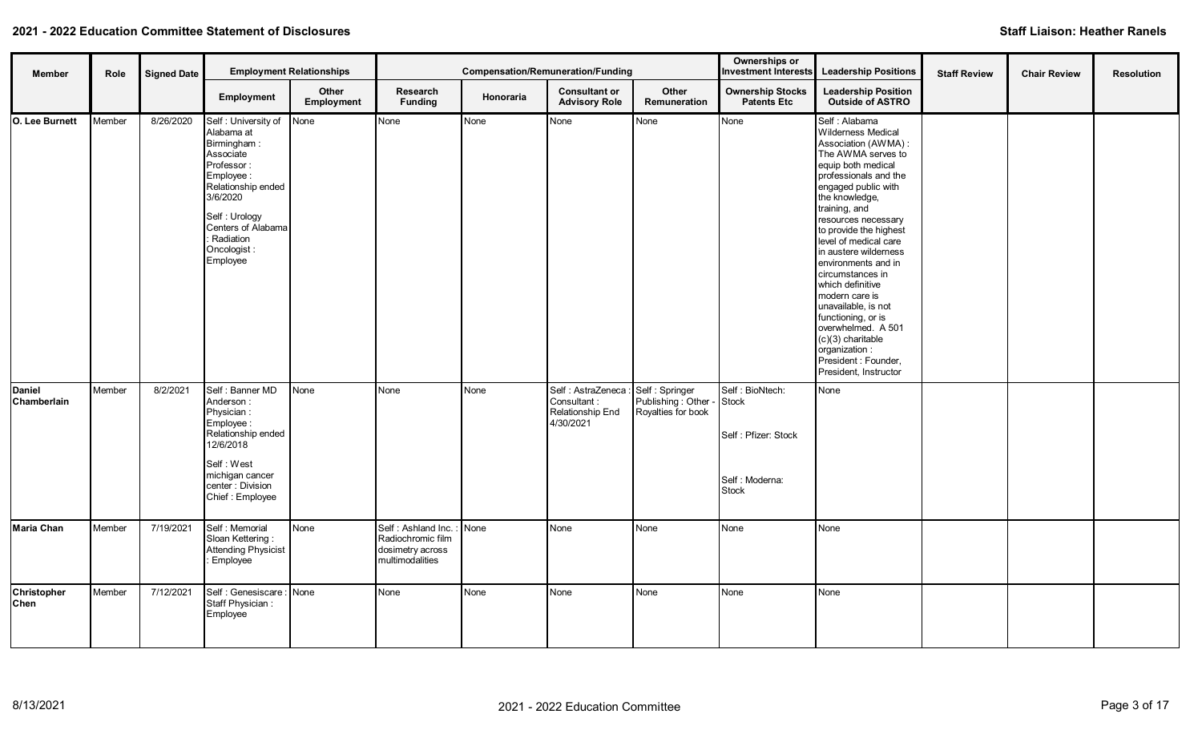| <b>Member</b>         | Role   | <b>Signed Date</b> |                                                                                                                                                                                                           | <b>Employment Relationships</b> |                                                                                 |           | Compensation/Remuneration/Funding                                    |                                                              | Ownerships or<br><b>Investment Interests</b>                                      | <b>Leadership Positions</b>                                                                                                                                                                                                                                                                                                                                                                                                                                                                                                                  | <b>Staff Review</b> | <b>Chair Review</b> | <b>Resolution</b> |
|-----------------------|--------|--------------------|-----------------------------------------------------------------------------------------------------------------------------------------------------------------------------------------------------------|---------------------------------|---------------------------------------------------------------------------------|-----------|----------------------------------------------------------------------|--------------------------------------------------------------|-----------------------------------------------------------------------------------|----------------------------------------------------------------------------------------------------------------------------------------------------------------------------------------------------------------------------------------------------------------------------------------------------------------------------------------------------------------------------------------------------------------------------------------------------------------------------------------------------------------------------------------------|---------------------|---------------------|-------------------|
|                       |        |                    | Employment                                                                                                                                                                                                | Other<br>Employment             | Research<br><b>Funding</b>                                                      | Honoraria | <b>Consultant or</b><br><b>Advisory Role</b>                         | Other<br>Remuneration                                        | <b>Ownership Stocks</b><br><b>Patents Etc</b>                                     | <b>Leadership Position</b><br><b>Outside of ASTRO</b>                                                                                                                                                                                                                                                                                                                                                                                                                                                                                        |                     |                     |                   |
| O. Lee Burnett        | Member | 8/26/2020          | Self: University of<br>Alabama at<br>Birmingham:<br>Associate<br>Professor:<br>Employee:<br>Relationship ended<br>3/6/2020<br>Self: Urology<br>Centers of Alabama<br>Radiation<br>Oncologist:<br>Employee | None                            | None                                                                            | None      | None                                                                 | None                                                         | None                                                                              | Self : Alabama<br>Wilderness Medical<br>Association (AWMA) :<br>The AWMA serves to<br>equip both medical<br>professionals and the<br>engaged public with<br>the knowledge,<br>training, and<br>resources necessary<br>to provide the highest<br>level of medical care<br>in austere wilderness<br>environments and in<br>circumstances in<br>which definitive<br>modern care is<br>unavailable, is not<br>functioning, or is<br>overwhelmed. A 501<br>$(c)(3)$ charitable<br>organization :<br>President : Founder,<br>President, Instructor |                     |                     |                   |
| Daniel<br>Chamberlain | Member | 8/2/2021           | Self: Banner MD<br>Anderson:<br>Physician:<br>Employee:<br>Relationship ended<br>12/6/2018<br>Self: West<br>michigan cancer<br>center: Division<br>Chief: Employee                                        | None                            | None                                                                            | None      | Self : AstraZeneca :<br>Consultant:<br>Relationship End<br>4/30/2021 | Self: Springer<br>Publishing : Other -<br>Royalties for book | Self: BioNtech:<br>Stock<br>Self: Pfizer: Stock<br>Self: Moderna:<br><b>Stock</b> | None                                                                                                                                                                                                                                                                                                                                                                                                                                                                                                                                         |                     |                     |                   |
| Maria Chan            | Member | 7/19/2021          | Self: Memorial<br>Sloan Kettering:<br>Attending Physicist<br>: Employee                                                                                                                                   | None                            | Self: Ashland Inc.:<br>Radiochromic film<br>dosimetry across<br>multimodalities | None      | None                                                                 | None                                                         | None                                                                              | None                                                                                                                                                                                                                                                                                                                                                                                                                                                                                                                                         |                     |                     |                   |
| Christopher<br>Chen   | Member | 7/12/2021          | Self : Genesiscare : None<br>Staff Physician:<br>Employee                                                                                                                                                 |                                 | None                                                                            | None      | None                                                                 | None                                                         | None                                                                              | None                                                                                                                                                                                                                                                                                                                                                                                                                                                                                                                                         |                     |                     |                   |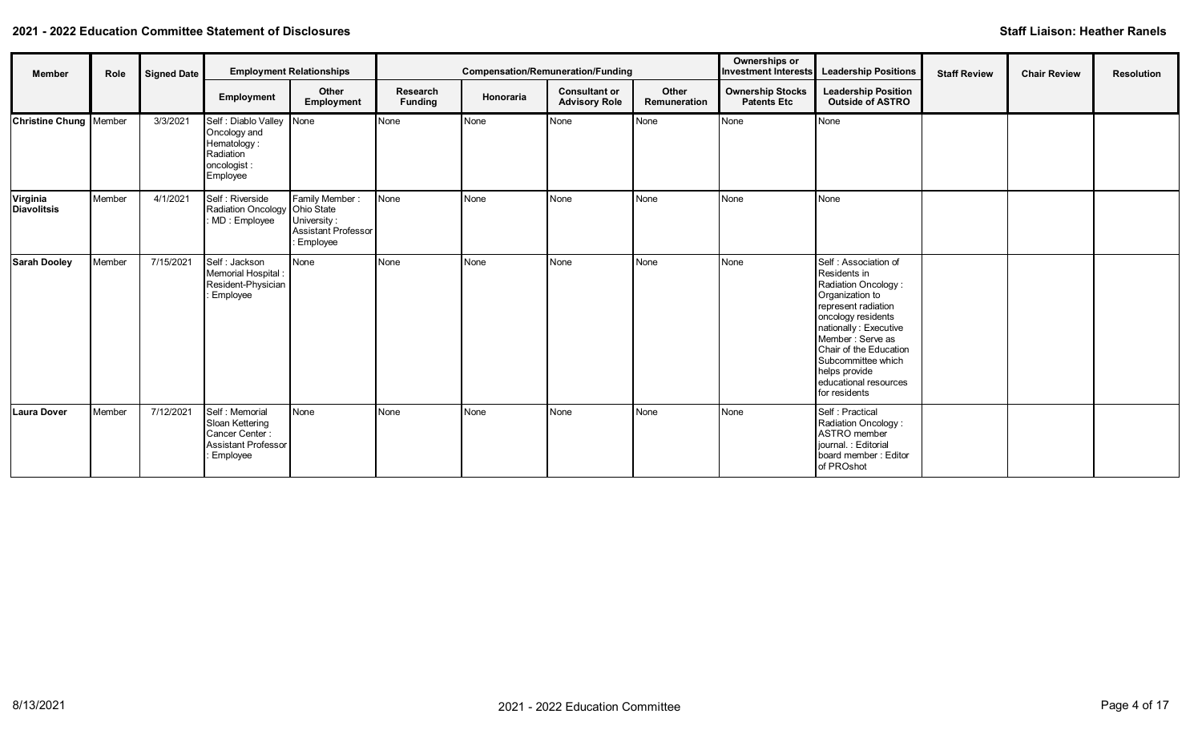| <b>Member</b>                   | Role   | <b>Signed Date</b> |                                                                                                      | <b>Employment Relationships</b>                                         |                            |              | <b>Compensation/Remuneration/Funding</b>     |                       | Ownerships or                                 | Investment Interests Leadership Positions                                                                                                                                                                                                                                            | <b>Staff Review</b> | <b>Chair Review</b> | <b>Resolution</b> |
|---------------------------------|--------|--------------------|------------------------------------------------------------------------------------------------------|-------------------------------------------------------------------------|----------------------------|--------------|----------------------------------------------|-----------------------|-----------------------------------------------|--------------------------------------------------------------------------------------------------------------------------------------------------------------------------------------------------------------------------------------------------------------------------------------|---------------------|---------------------|-------------------|
|                                 |        |                    | Employment                                                                                           | Other<br>Employment                                                     | Research<br><b>Funding</b> | Honoraria    | <b>Consultant or</b><br><b>Advisory Role</b> | Other<br>Remuneration | <b>Ownership Stocks</b><br><b>Patents Etc</b> | <b>Leadership Position</b><br><b>Outside of ASTRO</b>                                                                                                                                                                                                                                |                     |                     |                   |
| <b>Christine Chung   Member</b> |        | 3/3/2021           | Self : Diablo Valley None<br>Oncology and<br>Hematology:<br>Radiation<br>oncologist :<br>Employee    |                                                                         | None                       | None         | None                                         | None                  | None                                          | None                                                                                                                                                                                                                                                                                 |                     |                     |                   |
| Virginia<br><b>Diavolitsis</b>  | Member | 4/1/2021           | Self : Riverside<br>Radiation Oncology Ohio State<br>MD: Employee                                    | Family Member:<br>University:<br><b>Assistant Professor</b><br>Employee | None                       | <b>N</b> one | None                                         | None                  | None                                          | None                                                                                                                                                                                                                                                                                 |                     |                     |                   |
| <b>Sarah Dooley</b>             | Member | 7/15/2021          | Self : Jackson<br>Memorial Hospital:<br>Resident-Physician<br><b>Employee</b>                        | None                                                                    | None                       | None         | None                                         | None                  | None                                          | Self : Association of<br>Residents in<br>Radiation Oncology:<br>Organization to<br>represent radiation<br>oncology residents<br>nationally: Executive<br>Member: Serve as<br>Chair of the Education<br>Subcommittee which<br>helps provide<br>educational resources<br>for residents |                     |                     |                   |
| Laura Dover                     | Member | 7/12/2021          | Self: Memorial<br>Sloan Kettering<br>Cancer Center:<br><b>Assistant Professor</b><br><b>Employee</b> | None                                                                    | None                       | None         | None                                         | None                  | None                                          | Self: Practical<br>Radiation Oncology:<br>ASTRO member<br>journal. : Editorial<br>board member: Editor<br>of PROshot                                                                                                                                                                 |                     |                     |                   |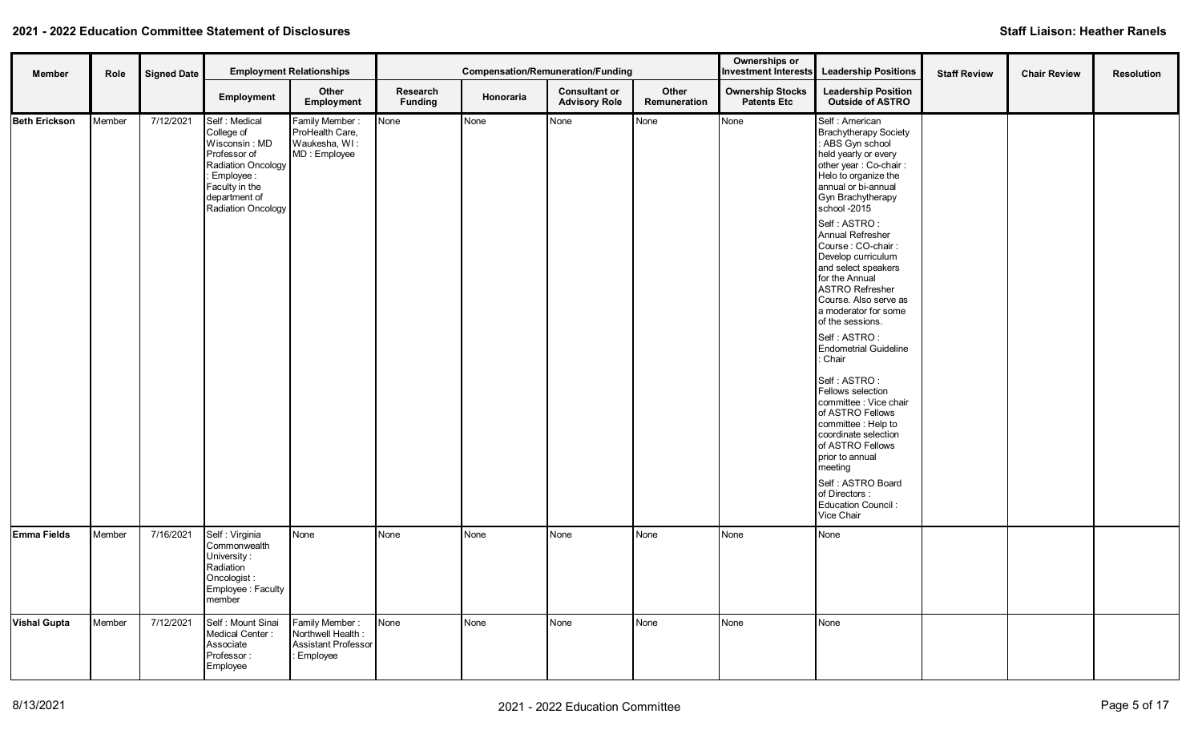| <b>Member</b>        | Role   | <b>Signed Date</b> |                                                                                                                                                             | <b>Employment Relationships</b>                                               |                            |           | <b>Compensation/Remuneration/Funding</b>     |                       | Ownerships or<br><b>Investment Interests</b>  | <b>Leadership Positions</b>                                                                                                                                                                                                                                                                                                                                                                                                                                                                                                                                                                                                                                                                                                                                      | <b>Staff Review</b> | <b>Chair Review</b> | <b>Resolution</b> |
|----------------------|--------|--------------------|-------------------------------------------------------------------------------------------------------------------------------------------------------------|-------------------------------------------------------------------------------|----------------------------|-----------|----------------------------------------------|-----------------------|-----------------------------------------------|------------------------------------------------------------------------------------------------------------------------------------------------------------------------------------------------------------------------------------------------------------------------------------------------------------------------------------------------------------------------------------------------------------------------------------------------------------------------------------------------------------------------------------------------------------------------------------------------------------------------------------------------------------------------------------------------------------------------------------------------------------------|---------------------|---------------------|-------------------|
|                      |        |                    | Employment                                                                                                                                                  | Other<br>Employment                                                           | Research<br><b>Funding</b> | Honoraria | <b>Consultant or</b><br><b>Advisory Role</b> | Other<br>Remuneration | <b>Ownership Stocks</b><br><b>Patents Etc</b> | <b>Leadership Position</b><br><b>Outside of ASTRO</b>                                                                                                                                                                                                                                                                                                                                                                                                                                                                                                                                                                                                                                                                                                            |                     |                     |                   |
| <b>Beth Erickson</b> | Member | 7/12/2021          | Self: Medical<br>College of<br>Wisconsin: MD<br>Professor of<br>Radiation Oncology<br>: Employee :<br>Faculty in the<br>department of<br>Radiation Oncology | Family Member:<br>ProHealth Care,<br>Waukesha, WI:<br>MD: Employee            | None                       | None      | None                                         | None                  | None                                          | Self: American<br><b>Brachytherapy Society</b><br>: ABS Gyn school<br>held yearly or every<br>other year: Co-chair:<br>Helo to organize the<br>annual or bi-annual<br>Gyn Brachytherapy<br>school -2015<br>Self : ASTRO :<br>Annual Refresher<br>Course: CO-chair:<br>Develop curriculum<br>and select speakers<br>for the Annual<br><b>ASTRO Refresher</b><br>Course. Also serve as<br>a moderator for some<br>of the sessions.<br>Self: ASTRO:<br><b>Endometrial Guideline</b><br>: Chair<br>Self: ASTRO:<br>Fellows selection<br>committee : Vice chair<br>of ASTRO Fellows<br>committee : Help to<br>coordinate selection<br>of ASTRO Fellows<br>prior to annual<br>meeting<br>Self: ASTRO Board<br>of Directors:<br><b>Education Council:</b><br>Vice Chair |                     |                     |                   |
| Emma Fields          | Member | 7/16/2021          | Self: Virginia<br>Commonwealth<br>University:<br>Radiation<br>Oncologist:<br>Employee: Faculty<br>member                                                    | None                                                                          | None                       | None      | None                                         | None                  | None                                          | None                                                                                                                                                                                                                                                                                                                                                                                                                                                                                                                                                                                                                                                                                                                                                             |                     |                     |                   |
| <b>Vishal Gupta</b>  | Member | 7/12/2021          | Self: Mount Sinai<br>Medical Center:<br>Associate<br>Professor:<br>Employee                                                                                 | Family Member:<br>Northwell Health:<br><b>Assistant Professor</b><br>Employee | None                       | None      | None                                         | None                  | None                                          | None                                                                                                                                                                                                                                                                                                                                                                                                                                                                                                                                                                                                                                                                                                                                                             |                     |                     |                   |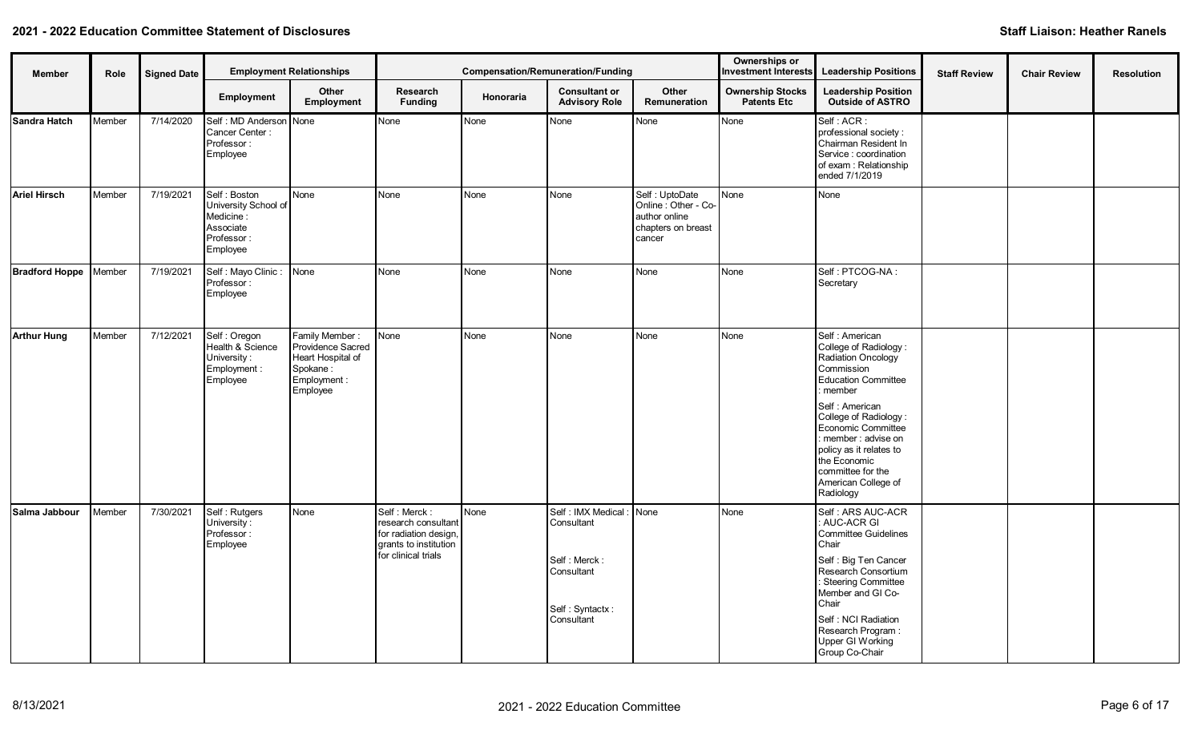| Member                | Role   | <b>Signed Date</b> |                                                                                          | <b>Employment Relationships</b>                                                                  |                                                                                                              |           | <b>Compensation/Remuneration/Funding</b>                                                               |                                                                                        | Ownerships or<br><b>Investment Interests</b>  | <b>Leadership Positions</b>                                                                                                                                                                                                                                                                                       | <b>Staff Review</b> | <b>Chair Review</b> | <b>Resolution</b> |
|-----------------------|--------|--------------------|------------------------------------------------------------------------------------------|--------------------------------------------------------------------------------------------------|--------------------------------------------------------------------------------------------------------------|-----------|--------------------------------------------------------------------------------------------------------|----------------------------------------------------------------------------------------|-----------------------------------------------|-------------------------------------------------------------------------------------------------------------------------------------------------------------------------------------------------------------------------------------------------------------------------------------------------------------------|---------------------|---------------------|-------------------|
|                       |        |                    | Employment                                                                               | Other<br>Employment                                                                              | Research<br><b>Funding</b>                                                                                   | Honoraria | <b>Consultant or</b><br><b>Advisory Role</b>                                                           | Other<br>Remuneration                                                                  | <b>Ownership Stocks</b><br><b>Patents Etc</b> | <b>Leadership Position</b><br><b>Outside of ASTRO</b>                                                                                                                                                                                                                                                             |                     |                     |                   |
| Sandra Hatch          | Member | 7/14/2020          | Self: MD Anderson None<br>Cancer Center:<br>Professor:<br>Employee                       |                                                                                                  | None                                                                                                         | None      | None                                                                                                   | None                                                                                   | None                                          | Self: ACR:<br>professional society:<br>Chairman Resident In<br>Service : coordination<br>of exam : Relationship<br>ended 7/1/2019                                                                                                                                                                                 |                     |                     |                   |
| <b>Ariel Hirsch</b>   | Member | 7/19/2021          | Self: Boston<br>University School of<br>Medicine:<br>Associate<br>Professor:<br>Employee | None                                                                                             | None                                                                                                         | None      | None                                                                                                   | Self: UptoDate<br>Online: Other - Co-<br>author online<br>chapters on breast<br>cancer | <b>N</b> one                                  | None                                                                                                                                                                                                                                                                                                              |                     |                     |                   |
| <b>Bradford Hoppe</b> | Member | 7/19/2021          | Self : Mayo Clinic : None<br>Professor:<br>Employee                                      |                                                                                                  | None                                                                                                         | None      | None                                                                                                   | None                                                                                   | None                                          | Self: PTCOG-NA:<br>Secretary                                                                                                                                                                                                                                                                                      |                     |                     |                   |
| <b>Arthur Hung</b>    | Member | 7/12/2021          | Self : Oregon<br>Health & Science<br>University:<br>Employment :<br>Employee             | Family Member:<br>Providence Sacred<br>Heart Hospital of<br>Spokane:<br>Employment :<br>Employee | None                                                                                                         | None      | None                                                                                                   | <b>None</b>                                                                            | None                                          | Self : American<br>College of Radiology:<br>Radiation Oncology<br>Commission<br><b>Education Committee</b><br>member<br>Self: American<br>College of Radiology:<br>Economic Committee<br>: member : advise on<br>policy as it relates to<br>the Economic<br>committee for the<br>American College of<br>Radiology |                     |                     |                   |
| Salma Jabbour         | Member | 7/30/2021          | Self: Rutgers<br>University:<br>Professor:<br>Employee                                   | None                                                                                             | Self: Merck:<br>research consultant<br>for radiation design,<br>grants to institution<br>for clinical trials | None      | Self : IMX Medical : None<br>Consultant<br>Self: Merck:<br>Consultant<br>Self: Syntactx:<br>Consultant |                                                                                        | <b>None</b>                                   | Self: ARS AUC-ACR<br>: AUC-ACR GI<br><b>Committee Guidelines</b><br>Chair<br>Self : Big Ten Cancer<br>Research Consortium<br>: Steering Committee<br>Member and GI Co-<br>Chair<br>Self: NCI Radiation<br>Research Program:<br>Upper GI Working<br>Group Co-Chair                                                 |                     |                     |                   |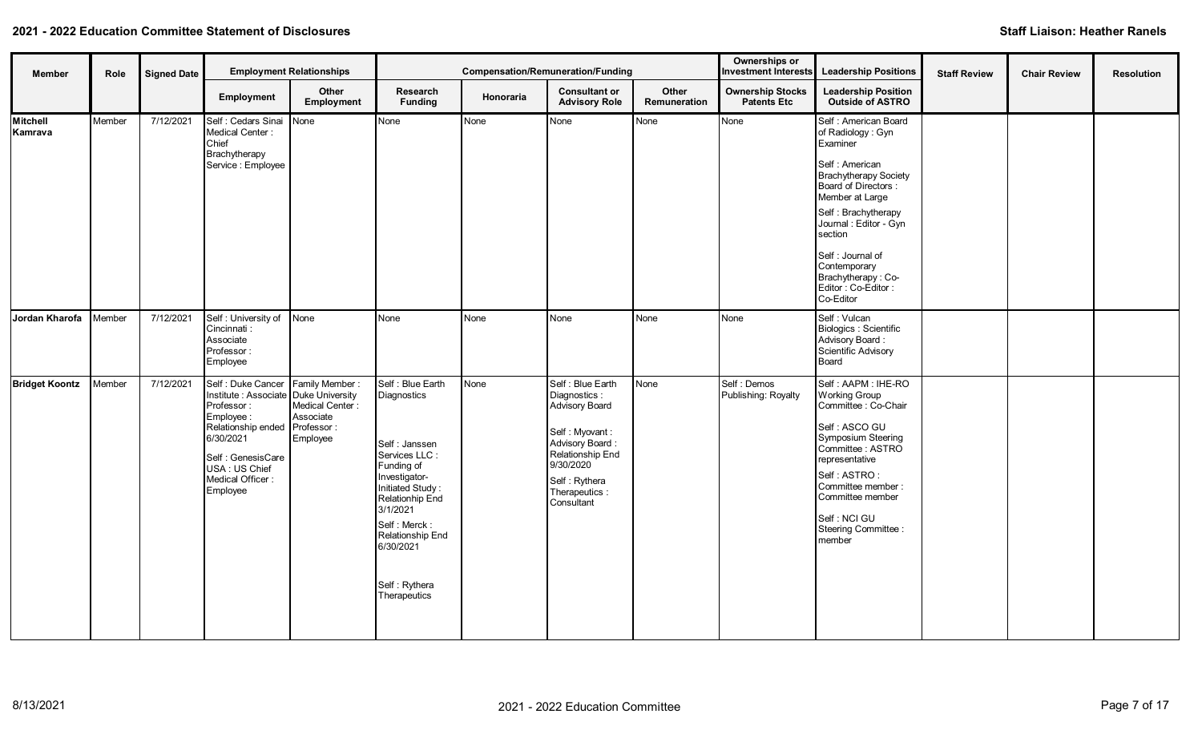| Member                | Role   | <b>Signed Date</b> |                                                                                                                                                                                                                           | <b>Employment Relationships</b>          |                                                                                                                                                                                                                                        | <b>Compensation/Remuneration/Funding</b> |                                                                                                                                                                             |                       | Ownerships or<br><b>Investment Interests</b>  | <b>Leadership Positions</b>                                                                                                                                                                                                                                                                           | <b>Staff Review</b> | <b>Chair Review</b> | <b>Resolution</b> |
|-----------------------|--------|--------------------|---------------------------------------------------------------------------------------------------------------------------------------------------------------------------------------------------------------------------|------------------------------------------|----------------------------------------------------------------------------------------------------------------------------------------------------------------------------------------------------------------------------------------|------------------------------------------|-----------------------------------------------------------------------------------------------------------------------------------------------------------------------------|-----------------------|-----------------------------------------------|-------------------------------------------------------------------------------------------------------------------------------------------------------------------------------------------------------------------------------------------------------------------------------------------------------|---------------------|---------------------|-------------------|
|                       |        |                    | Employment                                                                                                                                                                                                                | Other<br>Employment                      | Research<br><b>Funding</b>                                                                                                                                                                                                             | <b>Honoraria</b>                         | <b>Consultant or</b><br><b>Advisory Role</b>                                                                                                                                | Other<br>Remuneration | <b>Ownership Stocks</b><br><b>Patents Etc</b> | <b>Leadership Position</b><br><b>Outside of ASTRO</b>                                                                                                                                                                                                                                                 |                     |                     |                   |
| Mitchell<br>Kamrava   | Member | 7/12/2021          | Self : Cedars Sinai None<br>Medical Center:<br>Chief<br>Brachytherapy<br>Service : Employee                                                                                                                               |                                          | None                                                                                                                                                                                                                                   | None                                     | None                                                                                                                                                                        | None                  | None                                          | Self : American Board<br>of Radiology: Gyn<br>Examiner<br>Self: American<br>Brachytherapy Society<br>Board of Directors :<br>Member at Large<br>Self: Brachytherapy<br>Journal: Editor - Gyn<br>section<br>Self : Journal of<br>Contemporary<br>Brachytherapy: Co-<br>Editor: Co-Editor:<br>Co-Editor |                     |                     |                   |
| Jordan Kharofa        | Member | 7/12/2021          | Self: University of None<br>Cincinnati:<br>Associate<br>Professor:<br>Employee                                                                                                                                            |                                          | None                                                                                                                                                                                                                                   | None                                     | <b>N</b> one                                                                                                                                                                | None                  | None                                          | Self : Vulcan<br>Biologics : Scientific<br>Advisory Board:<br>Scientific Advisory<br>Board                                                                                                                                                                                                            |                     |                     |                   |
| <b>Bridget Koontz</b> | Member | 7/12/2021          | Self: Duke Cancer Family Member:<br>Institute : Associate Duke University<br>Professor:<br>Employee:<br>Relationship ended Professor:<br>6/30/2021<br>Self : GenesisCare<br>USA: US Chief<br>Medical Officer:<br>Employee | Medical Center:<br>Associate<br>Employee | Self : Blue Earth<br>Diagnostics<br>Self: Janssen<br>Services LLC:<br>Funding of<br>Investigator-<br>Initiated Study:<br>Relationhip End<br>3/1/2021<br>Self: Merck:<br>Relationship End<br>6/30/2021<br>Self: Rythera<br>Therapeutics | None                                     | Self : Blue Earth<br>Diagnostics :<br>Advisory Board<br>Self: Myovant:<br>Advisory Board:<br>Relationship End<br>9/30/2020<br>Self: Rythera<br>Therapeutics :<br>Consultant | None                  | Self: Demos<br>Publishing: Royalty            | Self: AAPM: IHE-RO<br><b>Working Group</b><br>Committee: Co-Chair<br>Self : ASCO GU<br>Symposium Steering<br>Committee: ASTRO<br>representative<br>Self: ASTRO:<br>Committee member:<br>Committee member<br>Self: NCI GU<br>Steering Committee :<br>member                                            |                     |                     |                   |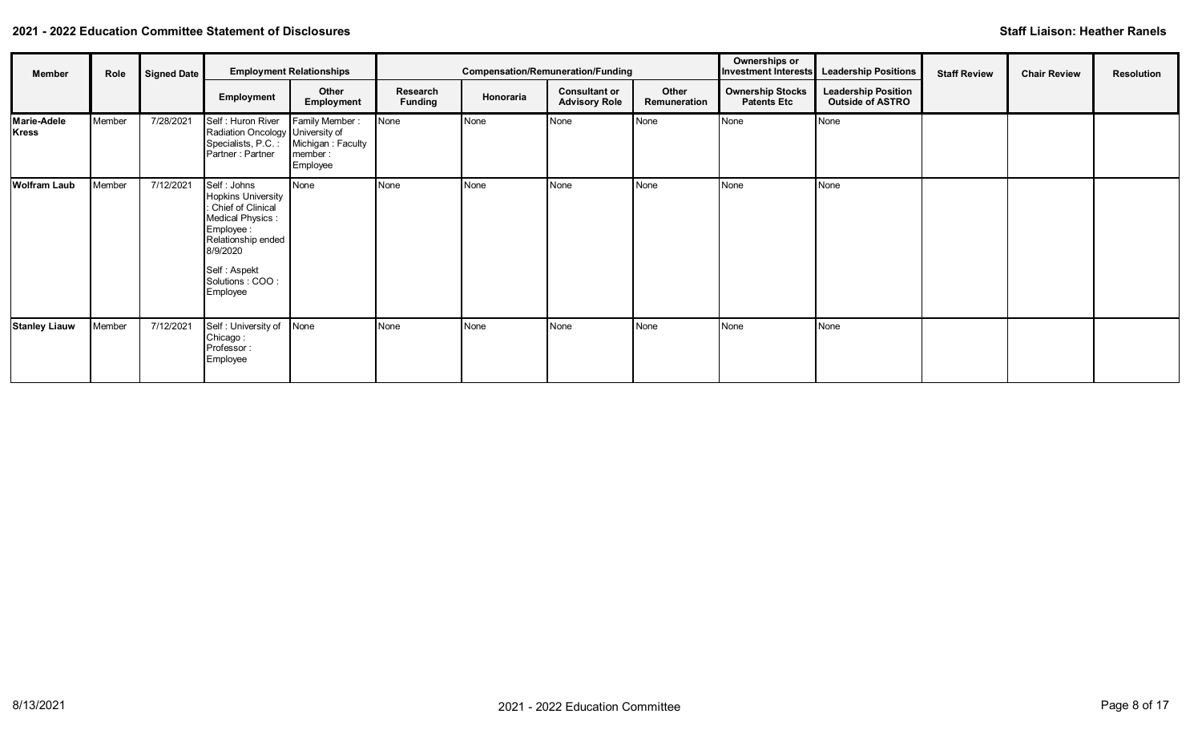| Member                             | Role   | <b>Signed Date</b> |                                                                                                                                                                                           | <b>Employment Relationships</b>                                               |                            | <b>Compensation/Remuneration/Funding</b> |                                              |                       | Ownerships or                                 | Investment Interests Leadership Positions             | <b>Staff Review</b> | <b>Chair Review</b> | Resolution |
|------------------------------------|--------|--------------------|-------------------------------------------------------------------------------------------------------------------------------------------------------------------------------------------|-------------------------------------------------------------------------------|----------------------------|------------------------------------------|----------------------------------------------|-----------------------|-----------------------------------------------|-------------------------------------------------------|---------------------|---------------------|------------|
|                                    |        |                    | Employment                                                                                                                                                                                | Other<br>Employment                                                           | Research<br><b>Funding</b> | Honoraria                                | <b>Consultant or</b><br><b>Advisory Role</b> | Other<br>Remuneration | <b>Ownership Stocks</b><br><b>Patents Etc</b> | <b>Leadership Position</b><br><b>Outside of ASTRO</b> |                     |                     |            |
| <b>Marie-Adele</b><br><b>Kress</b> | Member | 7/28/2021          | Self: Huron River<br>Radiation Oncology University of<br>Partner: Partner                                                                                                                 | Family Member:<br>Specialists, P.C.: Michigan: Faculty<br>member:<br>Employee | None                       | None                                     | None                                         | None                  | None                                          | None                                                  |                     |                     |            |
| <b>Wolfram Laub</b>                | Member | 7/12/2021          | Self: Johns<br><b>Hopkins University</b><br>Chief of Clinical<br><b>Medical Physics:</b><br>Employee :<br>Relationship ended<br>8/9/2020<br>Self: Aspekt<br>Solutions : COO :<br>Employee | None                                                                          | None                       | None                                     | None                                         | None                  | None                                          | <b>None</b>                                           |                     |                     |            |
| <b>Stanley Liauw</b>               | Member | 7/12/2021          | Self: University of<br>Chicago:<br>Professor:<br>Employee                                                                                                                                 | None                                                                          | None                       | None                                     | None                                         | None                  | None                                          | <b>None</b>                                           |                     |                     |            |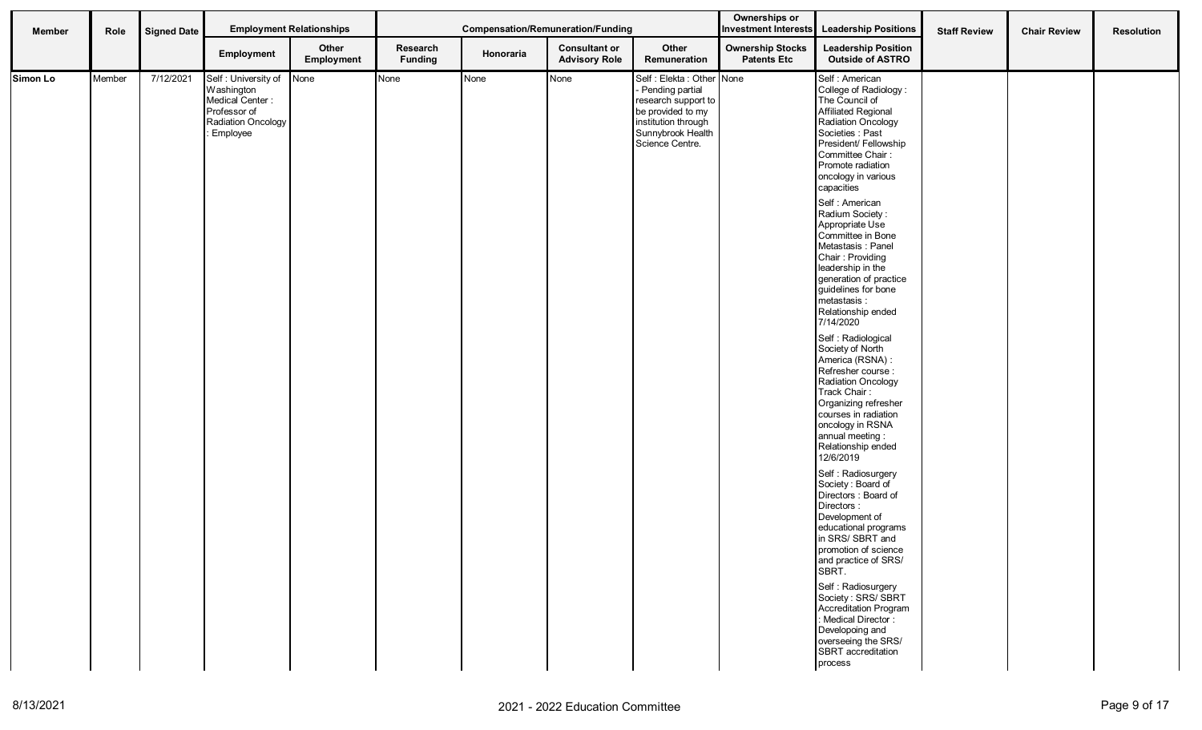| Member   | Role   | <b>Signed Date</b> |                                                                                                               | <b>Employment Relationships</b> |                            | Compensation/Remuneration/Funding |                                              |                                                                                                                                                          | Ownerships or                                 | Investment Interests Leadership Positions                                                                                                                                                                                                                                                                                                                                                                                                                                                                                                                                                                                                                                                                                                                                                                                                                                                                                                                                                                                                                                                                          | <b>Staff Review</b> | <b>Chair Review</b> | <b>Resolution</b> |
|----------|--------|--------------------|---------------------------------------------------------------------------------------------------------------|---------------------------------|----------------------------|-----------------------------------|----------------------------------------------|----------------------------------------------------------------------------------------------------------------------------------------------------------|-----------------------------------------------|--------------------------------------------------------------------------------------------------------------------------------------------------------------------------------------------------------------------------------------------------------------------------------------------------------------------------------------------------------------------------------------------------------------------------------------------------------------------------------------------------------------------------------------------------------------------------------------------------------------------------------------------------------------------------------------------------------------------------------------------------------------------------------------------------------------------------------------------------------------------------------------------------------------------------------------------------------------------------------------------------------------------------------------------------------------------------------------------------------------------|---------------------|---------------------|-------------------|
|          |        |                    | Employment                                                                                                    | Other<br>Employment             | Research<br><b>Funding</b> | Honoraria                         | <b>Consultant or</b><br><b>Advisory Role</b> | Other<br>Remuneration                                                                                                                                    | <b>Ownership Stocks</b><br><b>Patents Etc</b> | <b>Leadership Position</b><br><b>Outside of ASTRO</b>                                                                                                                                                                                                                                                                                                                                                                                                                                                                                                                                                                                                                                                                                                                                                                                                                                                                                                                                                                                                                                                              |                     |                     |                   |
| Simon Lo | Member | 7/12/2021          | Self: University of None<br>Washington<br>Medical Center:<br>Professor of<br>Radiation Oncology<br>: Employee |                                 | None                       | None                              | None                                         | Self : Elekta : Other None<br>Pending partial<br>research support to<br>be provided to my<br>institution through<br>Sunnybrook Health<br>Science Centre. |                                               | Self : American<br>College of Radiology:<br>The Council of<br>Affiliated Regional<br>Radiation Oncology<br>Societies : Past<br>President/ Fellowship<br>Committee Chair:<br>Promote radiation<br>oncology in various<br>capacities<br>Self : American<br>Radium Society:<br>Appropriate Use<br>Committee in Bone<br>Metastasis: Panel<br>Chair: Providing<br>leadership in the<br>generation of practice<br>guidelines for bone<br>metastasis :<br>Relationship ended<br>7/14/2020<br>Self: Radiological<br>Society of North<br>America (RSNA) :<br>Refresher course:<br>Radiation Oncology<br>Track Chair:<br>Organizing refresher<br>courses in radiation<br>oncology in RSNA<br>annual meeting:<br>Relationship ended<br>12/6/2019<br>Self: Radiosurgery<br>Society: Board of<br>Directors : Board of<br>Directors:<br>Development of<br>educational programs<br>in SRS/SBRT and<br>promotion of science<br>and practice of SRS/<br>SBRT.<br>Self: Radiosurgery<br>Society: SRS/SBRT<br>Accreditation Program<br>: Medical Director:<br>Developoing and<br>overseeing the SRS/<br>SBRT accreditation<br>process |                     |                     |                   |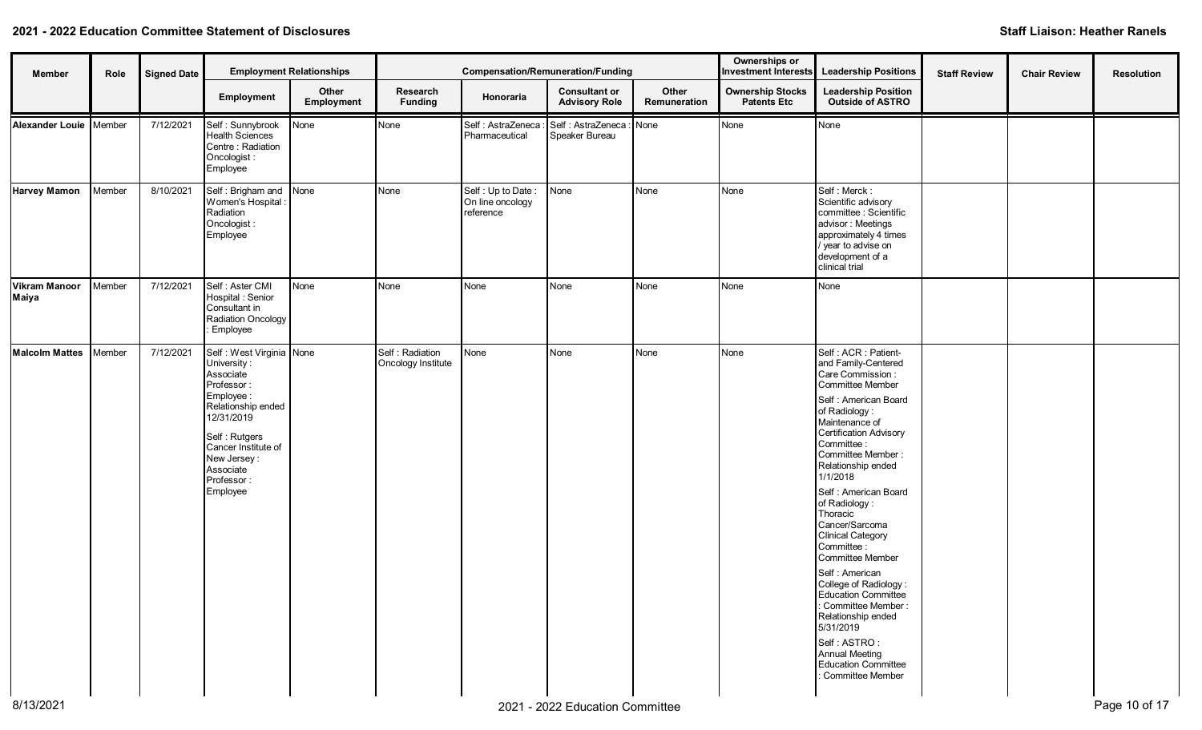| Member                        | Role   | <b>Signed Date</b> |                                                                                                                                                                                                                    | <b>Employment Relationships</b> |                                       | <b>Compensation/Remuneration/Funding</b>           |                                              |                       | Ownerships or<br><b>Investment Interests</b>  | <b>Leadership Positions</b>                                                                                                                                                                                                                                                                                                                                                                                                                                                                                                                                                             | <b>Staff Review</b> | <b>Chair Review</b> | <b>Resolution</b> |
|-------------------------------|--------|--------------------|--------------------------------------------------------------------------------------------------------------------------------------------------------------------------------------------------------------------|---------------------------------|---------------------------------------|----------------------------------------------------|----------------------------------------------|-----------------------|-----------------------------------------------|-----------------------------------------------------------------------------------------------------------------------------------------------------------------------------------------------------------------------------------------------------------------------------------------------------------------------------------------------------------------------------------------------------------------------------------------------------------------------------------------------------------------------------------------------------------------------------------------|---------------------|---------------------|-------------------|
|                               |        |                    | Employment                                                                                                                                                                                                         | Other<br>Employment             | Research<br><b>Funding</b>            | Honoraria                                          | <b>Consultant or</b><br><b>Advisory Role</b> | Other<br>Remuneration | <b>Ownership Stocks</b><br><b>Patents Etc</b> | <b>Leadership Position</b><br><b>Outside of ASTRO</b>                                                                                                                                                                                                                                                                                                                                                                                                                                                                                                                                   |                     |                     |                   |
| Alexander Louie   Member      |        | 7/12/2021          | Self: Sunnybrook<br><b>Health Sciences</b><br>Centre : Radiation<br>Oncologist:<br>Employee                                                                                                                        | None                            | None                                  | Self : AstraZeneca<br>Pharmaceutical               | Self : AstraZeneca : None<br>Speaker Bureau  |                       | None                                          | None                                                                                                                                                                                                                                                                                                                                                                                                                                                                                                                                                                                    |                     |                     |                   |
| <b>Harvey Mamon</b>           | Member | 8/10/2021          | Self: Brigham and None<br>Women's Hospital :<br>Radiation<br>Oncologist:<br>Employee                                                                                                                               |                                 | None                                  | Self: Up to Date:<br>On line oncology<br>reference | None                                         | None                  | None                                          | Self: Merck:<br>Scientific advisory<br>committee : Scientific<br>advisor: Meetings<br>approximately 4 times<br>/ year to advise on<br>development of a<br>clinical trial                                                                                                                                                                                                                                                                                                                                                                                                                |                     |                     |                   |
| <b>Vikram Manoor</b><br>Maiya | Member | 7/12/2021          | Self : Aster CMI<br>Hospital: Senior<br>Consultant in<br>Radiation Oncology<br>Employee                                                                                                                            | None                            | None                                  | None                                               | None                                         | None                  | None                                          | None                                                                                                                                                                                                                                                                                                                                                                                                                                                                                                                                                                                    |                     |                     |                   |
| <b>Malcolm Mattes</b>         | Member | 7/12/2021          | Self : West Virginia None<br>University:<br>Associate<br>Professor:<br>Employee:<br>Relationship ended<br>12/31/2019<br>Self: Rutgers<br>Cancer Institute of<br>New Jersey:<br>Associate<br>Professor:<br>Employee |                                 | Self: Radiation<br>Oncology Institute | None                                               | None                                         | None                  | None                                          | Self: ACR : Patient-<br>and Family-Centered<br>Care Commission:<br>Committee Member<br>Self: American Board<br>of Radiology:<br>Maintenance of<br>Certification Advisory<br>Committee :<br>Committee Member:<br>Relationship ended<br>1/1/2018<br>Self : American Board<br>of Radiology:<br>Thoracic<br>Cancer/Sarcoma<br>Clinical Category<br>Committee:<br>Committee Member<br>Self: American<br>College of Radiology:<br>Education Committee<br>: Committee Member :<br>Relationship ended<br>5/31/2019<br>Self: ASTRO:<br>Annual Meeting<br>Education Committee<br>Committee Member |                     |                     |                   |
| 8/13/2021                     |        |                    |                                                                                                                                                                                                                    |                                 |                                       |                                                    | 2021 - 2022 Education Committee              |                       |                                               |                                                                                                                                                                                                                                                                                                                                                                                                                                                                                                                                                                                         |                     |                     | Page 10 of 17     |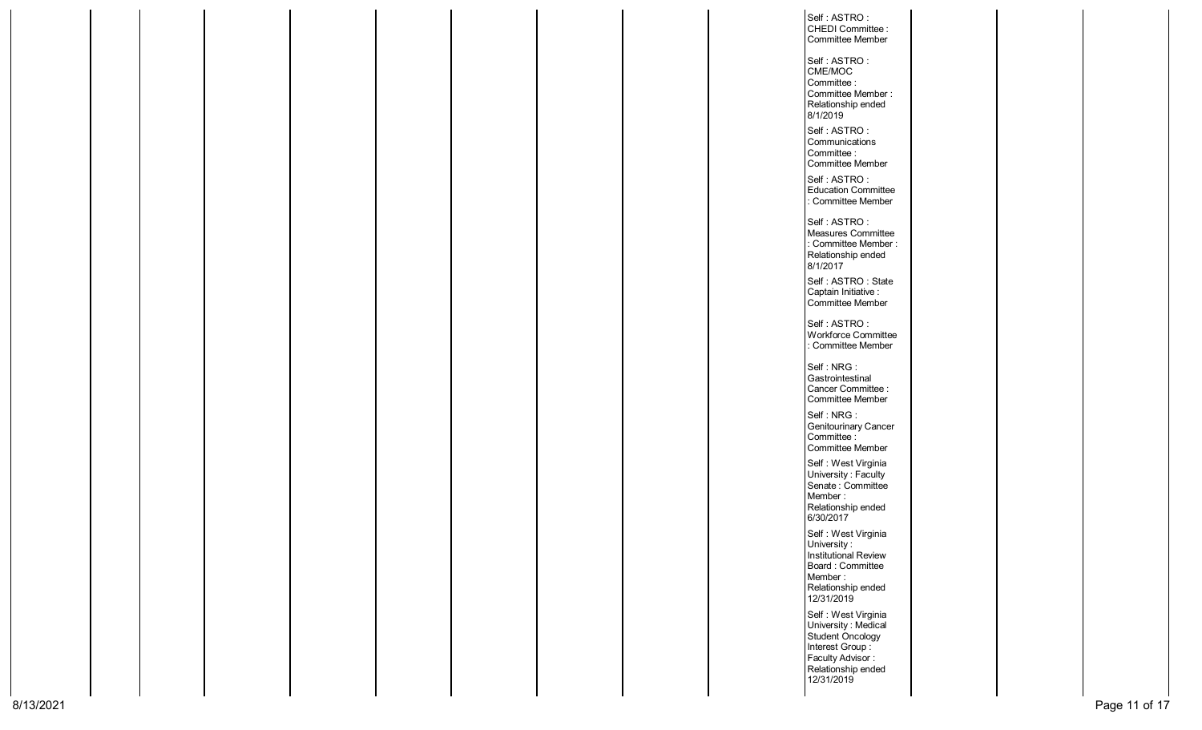|  |  |  |  |  | Self: ASTRO:                        |  |  |
|--|--|--|--|--|-------------------------------------|--|--|
|  |  |  |  |  | CHEDI Committee :                   |  |  |
|  |  |  |  |  | Committee Member                    |  |  |
|  |  |  |  |  |                                     |  |  |
|  |  |  |  |  | Self: ASTRO:                        |  |  |
|  |  |  |  |  |                                     |  |  |
|  |  |  |  |  | CME/MOC<br>Committee:               |  |  |
|  |  |  |  |  |                                     |  |  |
|  |  |  |  |  | Committee Member:                   |  |  |
|  |  |  |  |  | Relationship ended                  |  |  |
|  |  |  |  |  | 8/1/2019                            |  |  |
|  |  |  |  |  | Self: ASTRO:                        |  |  |
|  |  |  |  |  | Communications                      |  |  |
|  |  |  |  |  | Committee:                          |  |  |
|  |  |  |  |  | Committee Member                    |  |  |
|  |  |  |  |  |                                     |  |  |
|  |  |  |  |  | Self: ASTRO:                        |  |  |
|  |  |  |  |  | <b>Education Committee</b>          |  |  |
|  |  |  |  |  | : Committee Member                  |  |  |
|  |  |  |  |  |                                     |  |  |
|  |  |  |  |  | Self: ASTRO:                        |  |  |
|  |  |  |  |  | Measures Committee                  |  |  |
|  |  |  |  |  | : Committee Member :                |  |  |
|  |  |  |  |  | Relationship ended                  |  |  |
|  |  |  |  |  | 8/1/2017                            |  |  |
|  |  |  |  |  | Self: ASTRO: State                  |  |  |
|  |  |  |  |  | Captain Initiative :                |  |  |
|  |  |  |  |  | Committee Member                    |  |  |
|  |  |  |  |  |                                     |  |  |
|  |  |  |  |  | Self: ASTRO:                        |  |  |
|  |  |  |  |  | Workforce Committee                 |  |  |
|  |  |  |  |  | : Committee Member                  |  |  |
|  |  |  |  |  |                                     |  |  |
|  |  |  |  |  | Self: NRG:                          |  |  |
|  |  |  |  |  | Gastrointestinal                    |  |  |
|  |  |  |  |  | Cancer Committee :                  |  |  |
|  |  |  |  |  | Committee Member                    |  |  |
|  |  |  |  |  | Self: NRG:                          |  |  |
|  |  |  |  |  |                                     |  |  |
|  |  |  |  |  | Genitourinary Cancer                |  |  |
|  |  |  |  |  | Committee :                         |  |  |
|  |  |  |  |  | Committee Member                    |  |  |
|  |  |  |  |  | Self: West Virginia                 |  |  |
|  |  |  |  |  | University: Faculty                 |  |  |
|  |  |  |  |  | Senate: Committee                   |  |  |
|  |  |  |  |  | Member:                             |  |  |
|  |  |  |  |  | Relationship ended                  |  |  |
|  |  |  |  |  | 6/30/2017                           |  |  |
|  |  |  |  |  | Self: West Virginia                 |  |  |
|  |  |  |  |  | University:                         |  |  |
|  |  |  |  |  | Institutional Review                |  |  |
|  |  |  |  |  | Board: Committee                    |  |  |
|  |  |  |  |  | Member:                             |  |  |
|  |  |  |  |  |                                     |  |  |
|  |  |  |  |  | Relationship ended<br>12/31/2019    |  |  |
|  |  |  |  |  |                                     |  |  |
|  |  |  |  |  | Self: West Virginia                 |  |  |
|  |  |  |  |  | University: Medical                 |  |  |
|  |  |  |  |  | Student Oncology                    |  |  |
|  |  |  |  |  |                                     |  |  |
|  |  |  |  |  | Interest Group:<br>Faculty Advisor: |  |  |
|  |  |  |  |  | Relationship ended                  |  |  |
|  |  |  |  |  | 12/31/2019                          |  |  |
|  |  |  |  |  |                                     |  |  |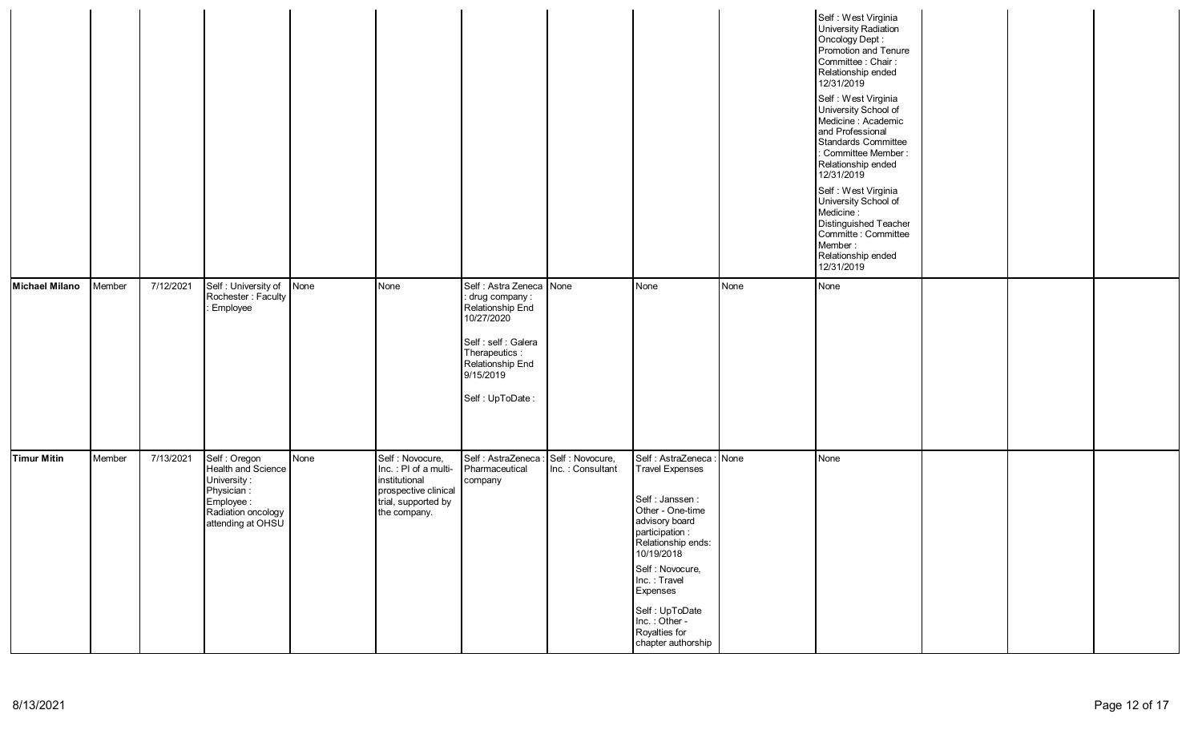|                       |        |           |                                                                                                                          |      |                                                                                                                          |                                                                                                                                                                             |                                      |                                                                                                                                                                                                                                                                                               |      | Self: West Virginia<br>University Radiation<br>Oncology Dept:<br>Promotion and Tenure<br>Committee : Chair :<br>Relationship ended<br>12/31/2019<br>Self: West Virginia<br>University School of<br>Medicine: Academic<br>and Professional<br>Standards Committee<br>: Committee Member :<br>Relationship ended<br>12/31/2019<br>Self : West Virginia<br>University School of<br>Medicine:<br>Distinguished Teacher<br>Committe : Committee<br>Member:<br>Relationship ended<br>12/31/2019 |  |  |
|-----------------------|--------|-----------|--------------------------------------------------------------------------------------------------------------------------|------|--------------------------------------------------------------------------------------------------------------------------|-----------------------------------------------------------------------------------------------------------------------------------------------------------------------------|--------------------------------------|-----------------------------------------------------------------------------------------------------------------------------------------------------------------------------------------------------------------------------------------------------------------------------------------------|------|-------------------------------------------------------------------------------------------------------------------------------------------------------------------------------------------------------------------------------------------------------------------------------------------------------------------------------------------------------------------------------------------------------------------------------------------------------------------------------------------|--|--|
| <b>Michael Milano</b> | Member | 7/12/2021 | Self: University of<br>Rochester: Faculty<br>Employee                                                                    | None | None                                                                                                                     | Self: Astra Zeneca None<br>: drug company :<br>Relationship End<br>10/27/2020<br>Self : self : Galera<br>Therapeutics :<br>Relationship End<br>9/15/2019<br>Self: UpToDate: |                                      | None                                                                                                                                                                                                                                                                                          | None | None                                                                                                                                                                                                                                                                                                                                                                                                                                                                                      |  |  |
| Timur Mitin           | Member | 7/13/2021 | Self : Oregon<br>Health and Science<br>University:<br>Physician:<br>Employee:<br>Radiation oncology<br>attending at OHSU | None | Self : Novocure,<br>Inc.: PI of a multi-<br>institutional<br>prospective clinical<br>trial, supported by<br>the company. | Self : AstraZeneca :<br>Pharmaceutical<br>company                                                                                                                           | Self : Novocure,<br>Inc.: Consultant | Self : AstraZeneca : None<br><b>Travel Expenses</b><br>Self : Janssen :<br>Other - One-time<br>advisory board<br>participation:<br>Relationship ends:<br>10/19/2018<br>Self : Novocure,<br>Inc.: Travel<br>Expenses<br>Self: UpToDate<br>Inc.: Other -<br>Royalties for<br>chapter authorship |      | None                                                                                                                                                                                                                                                                                                                                                                                                                                                                                      |  |  |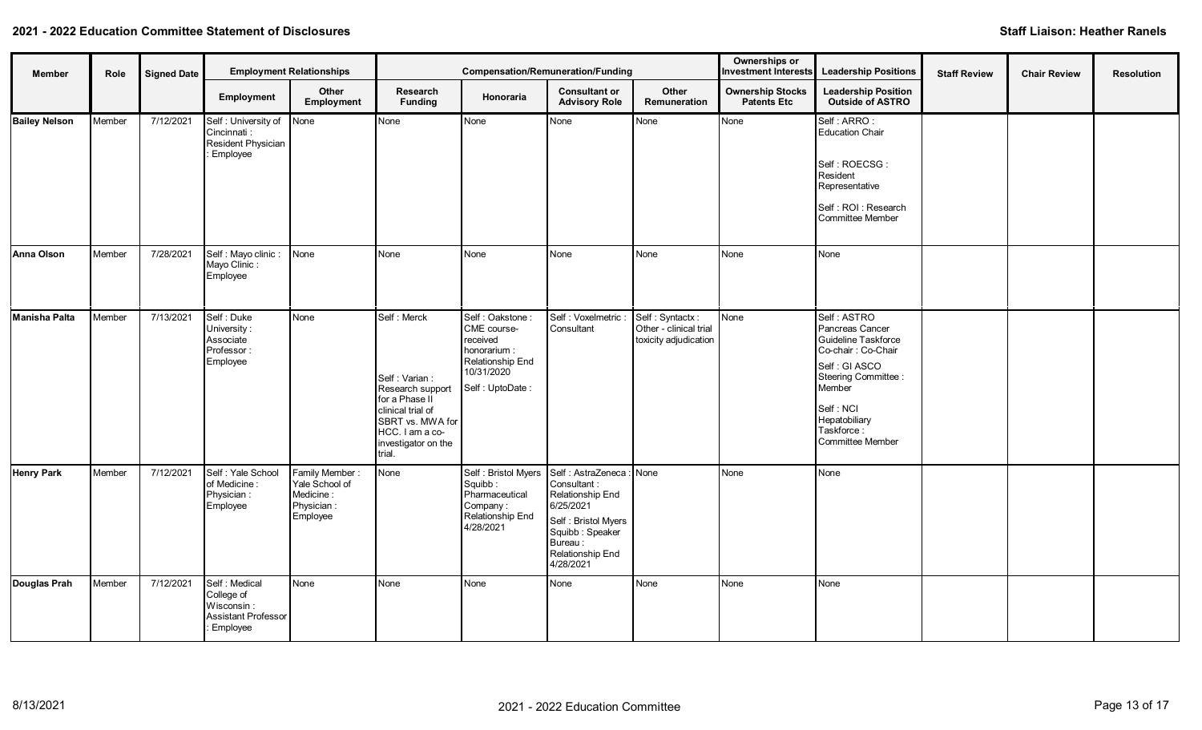| <b>Member</b>        | Role   | <b>Signed Date</b> |                                                                              | <b>Employment Relationships</b>                                         |                                                                                                                                                                 | Compensation/Remuneration/Funding                                                                                |                                                                                                                                                                 |                                                                    | Ownerships or<br><b>Investment Interests</b>   | <b>Leadership Positions</b>                                                                                                                                                                      | <b>Staff Review</b> | <b>Chair Review</b> | <b>Resolution</b> |
|----------------------|--------|--------------------|------------------------------------------------------------------------------|-------------------------------------------------------------------------|-----------------------------------------------------------------------------------------------------------------------------------------------------------------|------------------------------------------------------------------------------------------------------------------|-----------------------------------------------------------------------------------------------------------------------------------------------------------------|--------------------------------------------------------------------|------------------------------------------------|--------------------------------------------------------------------------------------------------------------------------------------------------------------------------------------------------|---------------------|---------------------|-------------------|
|                      |        |                    | Employment                                                                   | Other<br>Employment                                                     | Research<br><b>Funding</b>                                                                                                                                      | <b>Honoraria</b>                                                                                                 | <b>Consultant or</b><br><b>Advisory Role</b>                                                                                                                    | Other<br><b>Remuneration</b>                                       | <b>Ownership Stocks</b><br><b>Patents Etc.</b> | <b>Leadership Position</b><br><b>Outside of ASTRO</b>                                                                                                                                            |                     |                     |                   |
| <b>Bailey Nelson</b> | Member | 7/12/2021          | Self: University of None<br>Cincinnati:<br>Resident Physician<br>Employee    |                                                                         | None                                                                                                                                                            | None                                                                                                             | None                                                                                                                                                            | None                                                               | None                                           | Self : ARRO :<br>Education Chair<br>Self: ROECSG:<br>Resident<br>Representative<br>Self: ROI: Research<br>Committee Member                                                                       |                     |                     |                   |
| Anna Olson           | Member | 7/28/2021          | Self : Mayo clinic :<br>Mayo Clinic:<br>Employee                             | None                                                                    | None                                                                                                                                                            | None                                                                                                             | None                                                                                                                                                            | None                                                               | None                                           | None                                                                                                                                                                                             |                     |                     |                   |
| Manisha Palta        | Member | 7/13/2021          | Self: Duke<br>University:<br>Associate<br>Professor:<br>Employee             | None                                                                    | Self: Merck<br>Self: Varian:<br>Research support<br>for a Phase II<br>clinical trial of<br>SBRT vs. MWA for<br>HCC. I am a co-<br>investigator on the<br>trial. | Self: Oakstone:<br>CME course-<br>received<br>honorarium:<br>Relationship End<br>10/31/2020<br>Self : UptoDate : | Self : Voxelmetric<br>Consultant                                                                                                                                | Self: Syntactx:<br>Other - clinical trial<br>toxicity adjudication | None                                           | Self: ASTRO<br>Pancreas Cancer<br>Guideline Taskforce<br>Co-chair: Co-Chair<br>Self : GI ASCO<br>Steering Committee :<br>Member<br>Self : NCI<br>Hepatobiliary<br>Taskforce:<br>Committee Member |                     |                     |                   |
| <b>Henry Park</b>    | Member | 7/12/2021          | Self : Yale School<br>of Medicine:<br>Physician:<br>Employee                 | Family Member:<br>Yale School of<br>Medicine:<br>Physician:<br>Employee | None                                                                                                                                                            | Self : Bristol Myers<br>Squibb:<br>Pharmaceutical<br>Company:<br>Relationship End<br>4/28/2021                   | Self: AstraZeneca: None<br>Consultant:<br>Relationship End<br>6/25/2021<br>Self : Bristol Myers<br>Squibb : Speaker<br>Bureau:<br>Relationship End<br>4/28/2021 |                                                                    | None                                           | <b>N</b> one                                                                                                                                                                                     |                     |                     |                   |
| Douglas Prah         | Member | 7/12/2021          | Self: Medical<br>College of<br>Wisconsin:<br>Assistant Professor<br>Employee | None                                                                    | None                                                                                                                                                            | None                                                                                                             | None                                                                                                                                                            | None                                                               | None                                           | l None                                                                                                                                                                                           |                     |                     |                   |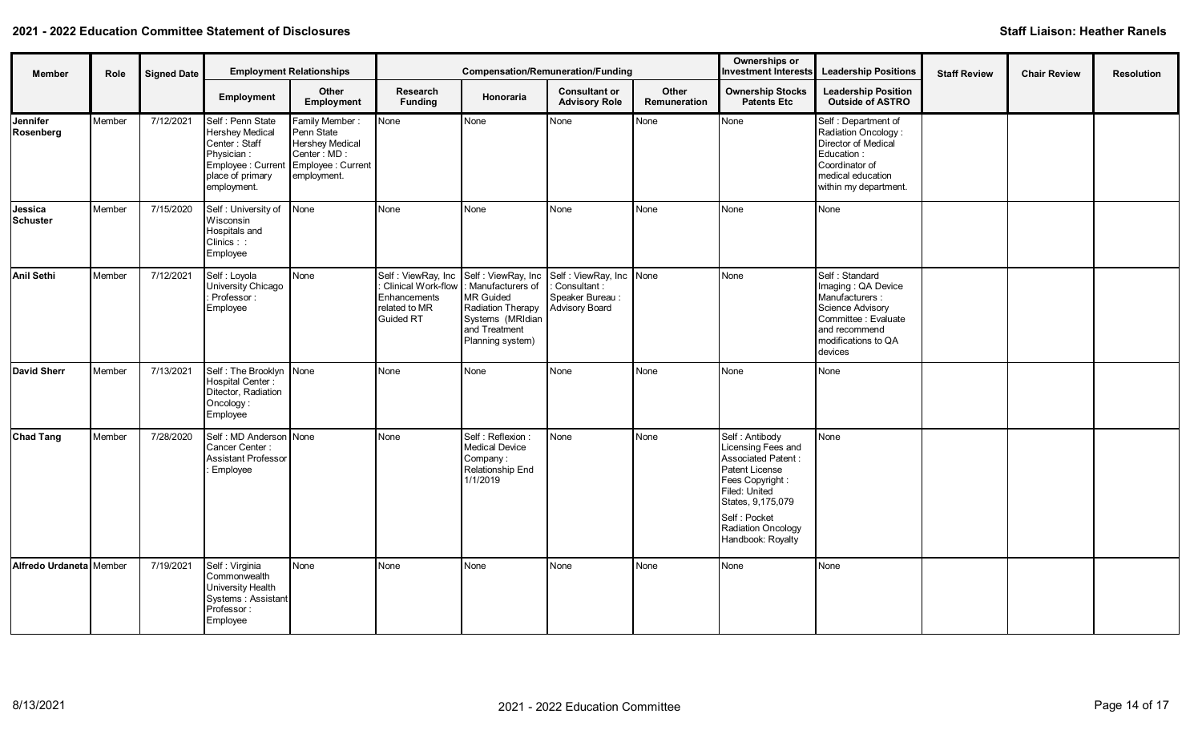| Member                           | <b>Employment Relationships</b><br><b>Signed Date</b><br>Role |           |                                                                                                                                                        |                                                                                      |                                                                            |                                                                                                                                                          | <b>Compensation/Remuneration/Funding</b>                                       |                       | Ownerships or                                                                                                                                                                                     | Investment Interests Leadership Positions                                                                                                              | <b>Staff Review</b> | <b>Chair Review</b> | <b>Resolution</b> |
|----------------------------------|---------------------------------------------------------------|-----------|--------------------------------------------------------------------------------------------------------------------------------------------------------|--------------------------------------------------------------------------------------|----------------------------------------------------------------------------|----------------------------------------------------------------------------------------------------------------------------------------------------------|--------------------------------------------------------------------------------|-----------------------|---------------------------------------------------------------------------------------------------------------------------------------------------------------------------------------------------|--------------------------------------------------------------------------------------------------------------------------------------------------------|---------------------|---------------------|-------------------|
|                                  |                                                               |           | Employment                                                                                                                                             | Other<br>Employment                                                                  | Research<br><b>Funding</b>                                                 | Honoraria                                                                                                                                                | <b>Consultant or</b><br><b>Advisory Role</b>                                   | Other<br>Remuneration | <b>Ownership Stocks</b><br><b>Patents Etc</b>                                                                                                                                                     | <b>Leadership Position</b><br><b>Outside of ASTRO</b>                                                                                                  |                     |                     |                   |
| Jennifer<br>Rosenberg            | Member                                                        | 7/12/2021 | Self : Penn State<br><b>Hershey Medical</b><br>Center: Staff<br>Physician:<br>Employee : Current Employee : Current<br>place of primary<br>employment. | Family Member:<br>Penn State<br><b>Hershey Medical</b><br>Center: MD:<br>employment. | None                                                                       | None                                                                                                                                                     | None                                                                           | None                  | None                                                                                                                                                                                              | Self : Department of<br>Radiation Oncology:<br>Director of Medical<br>Education:<br>Coordinator of<br>medical education<br>within my department.       |                     |                     |                   |
| Jessica<br>Schuster              | Member                                                        | 7/15/2020 | Self: University of<br>Wisconsin<br>Hospitals and<br>Clinics::<br>Employee                                                                             | None                                                                                 | None                                                                       | None                                                                                                                                                     | None                                                                           | None                  | <b>None</b>                                                                                                                                                                                       | None                                                                                                                                                   |                     |                     |                   |
| Anil Sethi                       | Member                                                        | 7/12/2021 | Self : Loyola<br>University Chicago<br>Professor:<br>Employee                                                                                          | None                                                                                 | Clinical Work-flow  :<br>Enhancements<br>related to MR<br><b>Guided RT</b> | Self : ViewRay, Inc Self : ViewRay, Inc<br>: Manufacturers of<br>MR Guided<br>Radiation Therapy<br>Systems (MRIdian<br>and Treatment<br>Planning system) | Self: ViewRay, Inc None<br>: Consultant:<br>Speaker Bureau :<br>Advisory Board |                       | None                                                                                                                                                                                              | Self: Standard<br>Imaging: QA Device<br>Manufacturers :<br>Science Advisory<br>Committee : Evaluate<br>and recommend<br>modifications to QA<br>devices |                     |                     |                   |
| <b>David Sherr</b>               | Member                                                        | 7/13/2021 | Self: The Brooklyn None<br>Hospital Center:<br>Ditector, Radiation<br>Oncology:<br>Employee                                                            |                                                                                      | None                                                                       | None                                                                                                                                                     | None                                                                           | None                  | <b>None</b>                                                                                                                                                                                       | None                                                                                                                                                   |                     |                     |                   |
| <b>Chad Tang</b>                 | Member                                                        | 7/28/2020 | Self : MD Anderson None<br>Cancer Center:<br><b>Assistant Professor</b><br>Employee                                                                    |                                                                                      | None                                                                       | Self: Reflexion:<br><b>Medical Device</b><br>Company:<br>Relationship End<br>1/1/2019                                                                    | None                                                                           | None                  | Self: Antibody<br>Licensing Fees and<br>Associated Patent:<br>Patent License<br>Fees Copyright :<br>Filed: United<br>States, 9,175,079<br>Self: Pocket<br>Radiation Oncology<br>Handbook: Royalty | None                                                                                                                                                   |                     |                     |                   |
| <b>Alfredo Urdaneta I</b> Member |                                                               | 7/19/2021 | Self: Virginia<br>Commonwealth<br>University Health<br>Systems : Assistant<br>Professor:<br>Employee                                                   | None                                                                                 | None                                                                       | None                                                                                                                                                     | None                                                                           | None                  | <b>None</b>                                                                                                                                                                                       | None                                                                                                                                                   |                     |                     |                   |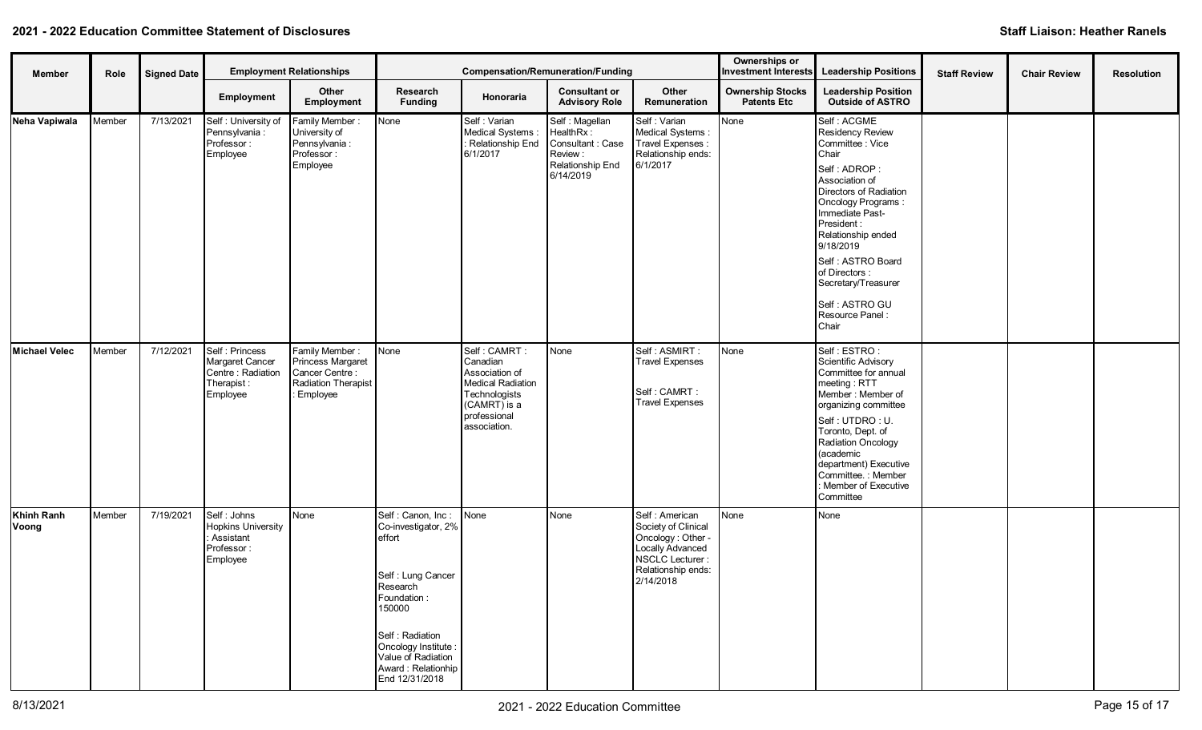| Member               | Role   | <b>Signed Date</b> |                                                                                   | <b>Employment Relationships</b>                                                            | <b>Compensation/Remuneration/Funding</b>                                                                                                                                                                              |                                                                                                                                  |                                                                                             |                                                                                                                                     | Ownerships or<br><b>Investment Interests</b>  | <b>Leadership Positions</b>                                                                                                                                                                                                                                                                                                    | <b>Staff Review</b> | <b>Chair Review</b> | <b>Resolution</b> |
|----------------------|--------|--------------------|-----------------------------------------------------------------------------------|--------------------------------------------------------------------------------------------|-----------------------------------------------------------------------------------------------------------------------------------------------------------------------------------------------------------------------|----------------------------------------------------------------------------------------------------------------------------------|---------------------------------------------------------------------------------------------|-------------------------------------------------------------------------------------------------------------------------------------|-----------------------------------------------|--------------------------------------------------------------------------------------------------------------------------------------------------------------------------------------------------------------------------------------------------------------------------------------------------------------------------------|---------------------|---------------------|-------------------|
|                      |        |                    | Employment                                                                        | Other<br>Employment                                                                        | Research<br><b>Funding</b>                                                                                                                                                                                            | Honoraria                                                                                                                        | <b>Consultant or</b><br><b>Advisory Role</b>                                                | Other<br>Remuneration                                                                                                               | <b>Ownership Stocks</b><br><b>Patents Etc</b> | <b>Leadership Position</b><br><b>Outside of ASTRO</b>                                                                                                                                                                                                                                                                          |                     |                     |                   |
| Neha Vapiwala        | Member | 7/13/2021          | Self: University of<br>Pennsylvania :<br>Professor:<br>Employee                   | Family Member:<br>University of<br>Pennsylvania :<br>Professor:<br>Employee                | None                                                                                                                                                                                                                  | Self: Varian<br>Medical Systems:<br>: Relationship End<br>6/1/2017                                                               | Self: Magellan<br>HealthRx:<br>Consultant: Case<br>Review:<br>Relationship End<br>6/14/2019 | Self: Varian<br>Medical Systems:<br>Travel Expenses :<br>Relationship ends:<br>6/1/2017                                             | None                                          | Self: ACGME<br>Residency Review<br>Committee : Vice<br>Chair<br>Self: ADROP:<br>Association of<br>Directors of Radiation<br>Oncology Programs:<br>Immediate Past-<br>President:<br>Relationship ended<br>9/18/2019<br>Self: ASTRO Board<br>of Directors :<br>Secretary/Treasurer<br>Self: ASTRO GU<br>Resource Panel:<br>Chair |                     |                     |                   |
| <b>Michael Velec</b> | Member | 7/12/2021          | Self : Princess<br>Margaret Cancer<br>Centre: Radiation<br>Therapist:<br>Employee | Family Member:<br>Princess Margaret<br>Cancer Centre:<br>Radiation Therapist<br>: Employee | None                                                                                                                                                                                                                  | Self: CAMRT:<br>Canadian<br>Association of<br>Medical Radiation<br>Technologists<br>(CAMRT) is a<br>professional<br>association. | None                                                                                        | Self : ASMIRT :<br><b>Travel Expenses</b><br>Self: CAMRT:<br><b>Travel Expenses</b>                                                 | None                                          | Self: ESTRO:<br>Scientific Advisory<br>Committee for annual<br>meeting: RTT<br>Member: Member of<br>organizing committee<br>Self: UTDRO: U.<br>Toronto, Dept. of<br>Radiation Oncology<br>(academic<br>department) Executive<br>Committee.: Member<br>: Member of Executive<br>Committee                                       |                     |                     |                   |
| Khinh Ranh<br>Voong  | Member | 7/19/2021          | Self: Johns<br><b>Hopkins University</b><br>Assistant<br>Professor:<br>Employee   | None                                                                                       | Self: Canon, Inc:<br>Co-investigator, 2%<br>effort<br>Self: Lung Cancer<br>Research<br>Foundation:<br>150000<br>Self: Radiation<br>Oncology Institute :<br>Value of Radiation<br>Award: Relationhip<br>End 12/31/2018 | None                                                                                                                             | None                                                                                        | Self : American<br>Society of Clinical<br>Oncology: Other<br>Locally Advanced<br>NSCLC Lecturer:<br>Relationship ends:<br>2/14/2018 | None                                          | None                                                                                                                                                                                                                                                                                                                           |                     |                     |                   |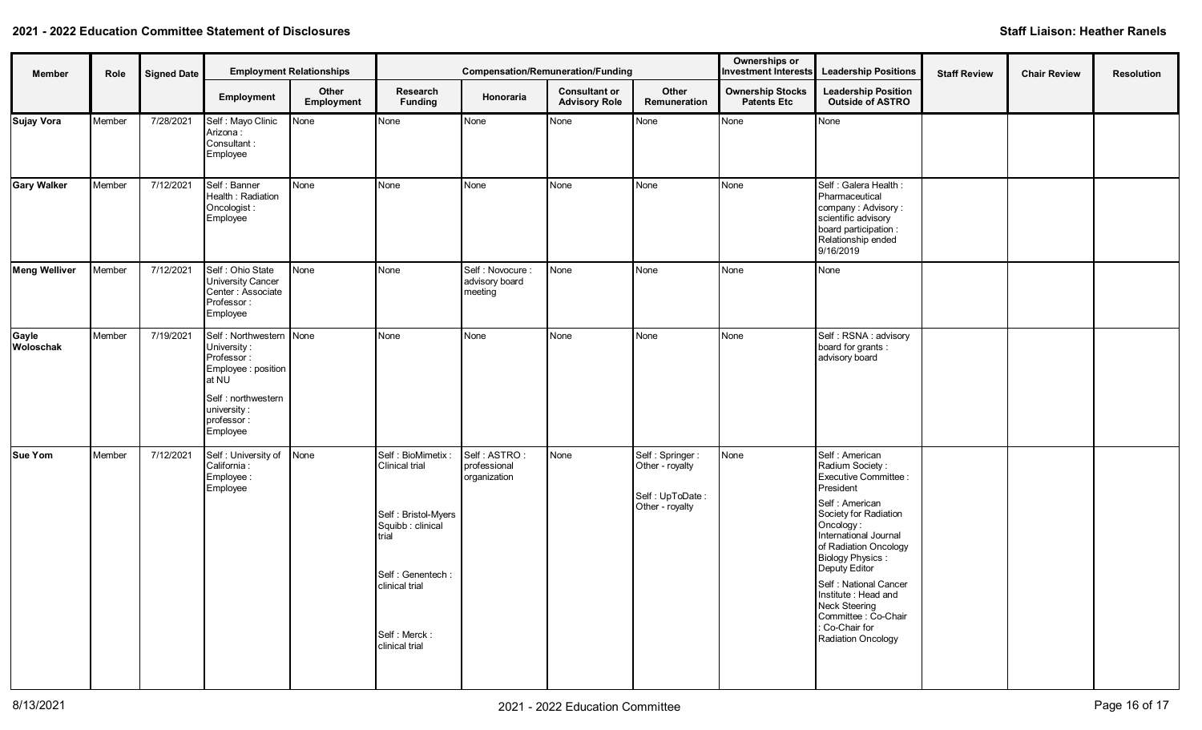| Member             | Role   | <b>Signed Date</b> |                                                                                                                                                     | <b>Employment Relationships</b> | <b>Compensation/Remuneration/Funding</b>                                                                                                                        |                                                |                                              |                                                                          | Ownerships or<br><b>Investment Interests</b>  | <b>Leadership Positions</b>                                                                                                                                                                                                                                                                                                                               | <b>Staff Review</b> | <b>Chair Review</b> | <b>Resolution</b> |
|--------------------|--------|--------------------|-----------------------------------------------------------------------------------------------------------------------------------------------------|---------------------------------|-----------------------------------------------------------------------------------------------------------------------------------------------------------------|------------------------------------------------|----------------------------------------------|--------------------------------------------------------------------------|-----------------------------------------------|-----------------------------------------------------------------------------------------------------------------------------------------------------------------------------------------------------------------------------------------------------------------------------------------------------------------------------------------------------------|---------------------|---------------------|-------------------|
|                    |        |                    | Employment                                                                                                                                          | Other<br>Employment             | Research<br><b>Funding</b>                                                                                                                                      | Honoraria                                      | <b>Consultant or</b><br><b>Advisory Role</b> | Other<br>Remuneration                                                    | <b>Ownership Stocks</b><br><b>Patents Etc</b> | <b>Leadership Position</b><br>Outside of ASTRO                                                                                                                                                                                                                                                                                                            |                     |                     |                   |
| <b>Sujay Vora</b>  | Member | 7/28/2021          | Self : Mayo Clinic<br>Arizona:<br>Consultant:<br>Employee                                                                                           | None                            | None                                                                                                                                                            | None                                           | None                                         | None                                                                     | None                                          | None                                                                                                                                                                                                                                                                                                                                                      |                     |                     |                   |
| <b>Gary Walker</b> | Member | 7/12/2021          | Self : Banner<br>Health: Radiation<br>Oncologist:<br>Employee                                                                                       | None                            | None                                                                                                                                                            | None                                           | None                                         | None                                                                     | None                                          | Self : Galera Health :<br>Pharmaceutical<br>company: Advisory:<br>scientific advisory<br>board participation :<br>Relationship ended<br>9/16/2019                                                                                                                                                                                                         |                     |                     |                   |
| Meng Welliver      | Member | 7/12/2021          | Self : Ohio State<br><b>University Cancer</b><br>Center: Associate<br>Professor:<br>Employee                                                        | None                            | None                                                                                                                                                            | Self : Novocure :<br>advisory board<br>meeting | None                                         | None                                                                     | None                                          | None                                                                                                                                                                                                                                                                                                                                                      |                     |                     |                   |
| Gayle<br>Woloschak | Member | 7/19/2021          | Self: Northwestern None<br>University:<br>Professor:<br>Employee : position<br>at NU<br>Self: northwestern<br>university:<br>professor:<br>Employee |                                 | None                                                                                                                                                            | None                                           | None                                         | None                                                                     | None                                          | Self: RSNA: advisory<br>board for grants :<br>advisory board                                                                                                                                                                                                                                                                                              |                     |                     |                   |
| Sue Yom            | Member | 7/12/2021          | Self: University of<br>California:<br>Employee:<br>Employee                                                                                         | None                            | Self: BioMimetix<br>Clinical trial<br>Self: Bristol-Myers<br>Squibb : clinical<br>trial<br>Self: Genentech:<br>clinical trial<br>Self: Merck:<br>clinical trial | Self: ASTRO:<br>professional<br>organization   | None                                         | Self: Springer:<br>Other - royalty<br>Self: UpToDate:<br>Other - royalty | None                                          | Self : American<br>Radium Society:<br>Executive Committee :<br>President<br>Self: American<br>Society for Radiation<br>Oncology:<br>International Journal<br>of Radiation Oncology<br>Biology Physics:<br>Deputy Editor<br>Self : National Cancer<br>Institute: Head and<br>Neck Steering<br>Committee : Co-Chair<br>: Co-Chair for<br>Radiation Oncology |                     |                     |                   |